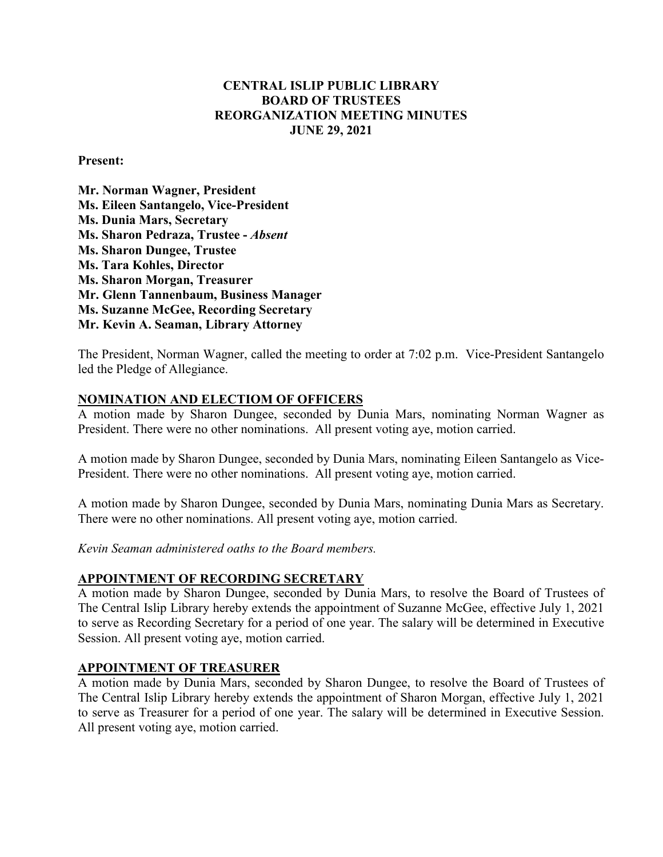# **CENTRAL ISLIP PUBLIC LIBRARY BOARD OF TRUSTEES REORGANIZATION MEETING MINUTES JUNE 29, 2021**

**Present:**

**Mr. Norman Wagner, President Ms. Eileen Santangelo, Vice-President Ms. Dunia Mars, Secretary Ms. Sharon Pedraza, Trustee -** *Absent*  **Ms. Sharon Dungee, Trustee Ms. Tara Kohles, Director Ms. Sharon Morgan, Treasurer Mr. Glenn Tannenbaum, Business Manager Ms. Suzanne McGee, Recording Secretary Mr. Kevin A. Seaman, Library Attorney**

The President, Norman Wagner, called the meeting to order at 7:02 p.m. Vice-President Santangelo led the Pledge of Allegiance.

### **NOMINATION AND ELECTIOM OF OFFICERS**

A motion made by Sharon Dungee, seconded by Dunia Mars, nominating Norman Wagner as President. There were no other nominations. All present voting aye, motion carried.

A motion made by Sharon Dungee, seconded by Dunia Mars, nominating Eileen Santangelo as Vice-President. There were no other nominations. All present voting aye, motion carried.

A motion made by Sharon Dungee, seconded by Dunia Mars, nominating Dunia Mars as Secretary. There were no other nominations. All present voting aye, motion carried.

*Kevin Seaman administered oaths to the Board members.*

### **APPOINTMENT OF RECORDING SECRETARY**

A motion made by Sharon Dungee, seconded by Dunia Mars, to resolve the Board of Trustees of The Central Islip Library hereby extends the appointment of Suzanne McGee, effective July 1, 2021 to serve as Recording Secretary for a period of one year. The salary will be determined in Executive Session. All present voting aye, motion carried.

### **APPOINTMENT OF TREASURER**

A motion made by Dunia Mars, seconded by Sharon Dungee, to resolve the Board of Trustees of The Central Islip Library hereby extends the appointment of Sharon Morgan, effective July 1, 2021 to serve as Treasurer for a period of one year. The salary will be determined in Executive Session. All present voting aye, motion carried.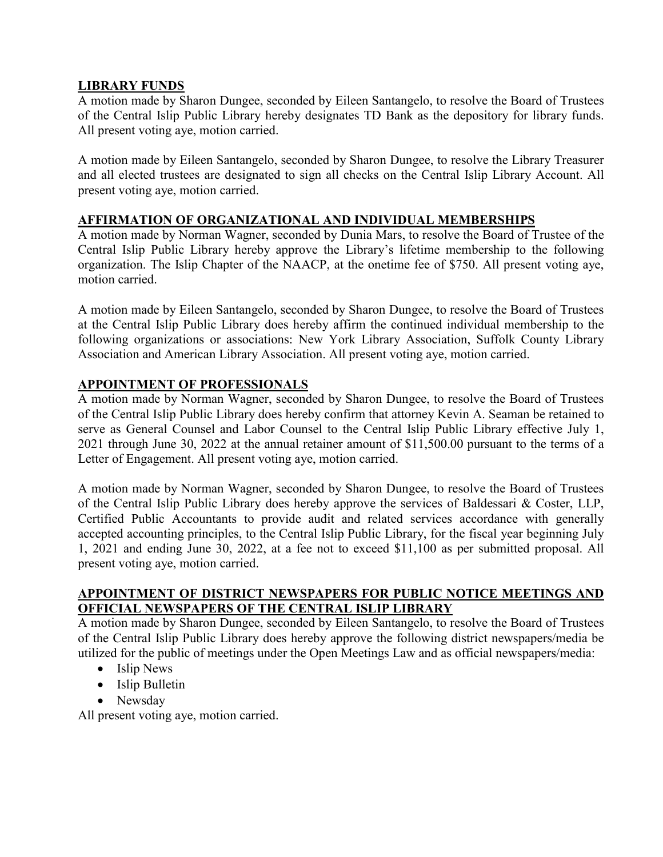### **LIBRARY FUNDS**

A motion made by Sharon Dungee, seconded by Eileen Santangelo, to resolve the Board of Trustees of the Central Islip Public Library hereby designates TD Bank as the depository for library funds. All present voting aye, motion carried.

A motion made by Eileen Santangelo, seconded by Sharon Dungee, to resolve the Library Treasurer and all elected trustees are designated to sign all checks on the Central Islip Library Account. All present voting aye, motion carried.

# **AFFIRMATION OF ORGANIZATIONAL AND INDIVIDUAL MEMBERSHIPS**

A motion made by Norman Wagner, seconded by Dunia Mars, to resolve the Board of Trustee of the Central Islip Public Library hereby approve the Library's lifetime membership to the following organization. The Islip Chapter of the NAACP, at the onetime fee of \$750. All present voting aye, motion carried.

A motion made by Eileen Santangelo, seconded by Sharon Dungee, to resolve the Board of Trustees at the Central Islip Public Library does hereby affirm the continued individual membership to the following organizations or associations: New York Library Association, Suffolk County Library Association and American Library Association. All present voting aye, motion carried.

### **APPOINTMENT OF PROFESSIONALS**

A motion made by Norman Wagner, seconded by Sharon Dungee, to resolve the Board of Trustees of the Central Islip Public Library does hereby confirm that attorney Kevin A. Seaman be retained to serve as General Counsel and Labor Counsel to the Central Islip Public Library effective July 1, 2021 through June 30, 2022 at the annual retainer amount of \$11,500.00 pursuant to the terms of a Letter of Engagement. All present voting aye, motion carried.

A motion made by Norman Wagner, seconded by Sharon Dungee, to resolve the Board of Trustees of the Central Islip Public Library does hereby approve the services of Baldessari & Coster, LLP, Certified Public Accountants to provide audit and related services accordance with generally accepted accounting principles, to the Central Islip Public Library, for the fiscal year beginning July 1, 2021 and ending June 30, 2022, at a fee not to exceed \$11,100 as per submitted proposal. All present voting aye, motion carried.

# **APPOINTMENT OF DISTRICT NEWSPAPERS FOR PUBLIC NOTICE MEETINGS AND OFFICIAL NEWSPAPERS OF THE CENTRAL ISLIP LIBRARY**

A motion made by Sharon Dungee, seconded by Eileen Santangelo, to resolve the Board of Trustees of the Central Islip Public Library does hereby approve the following district newspapers/media be utilized for the public of meetings under the Open Meetings Law and as official newspapers/media:

- Islip News
- Islip Bulletin
- Newsday

All present voting aye, motion carried.